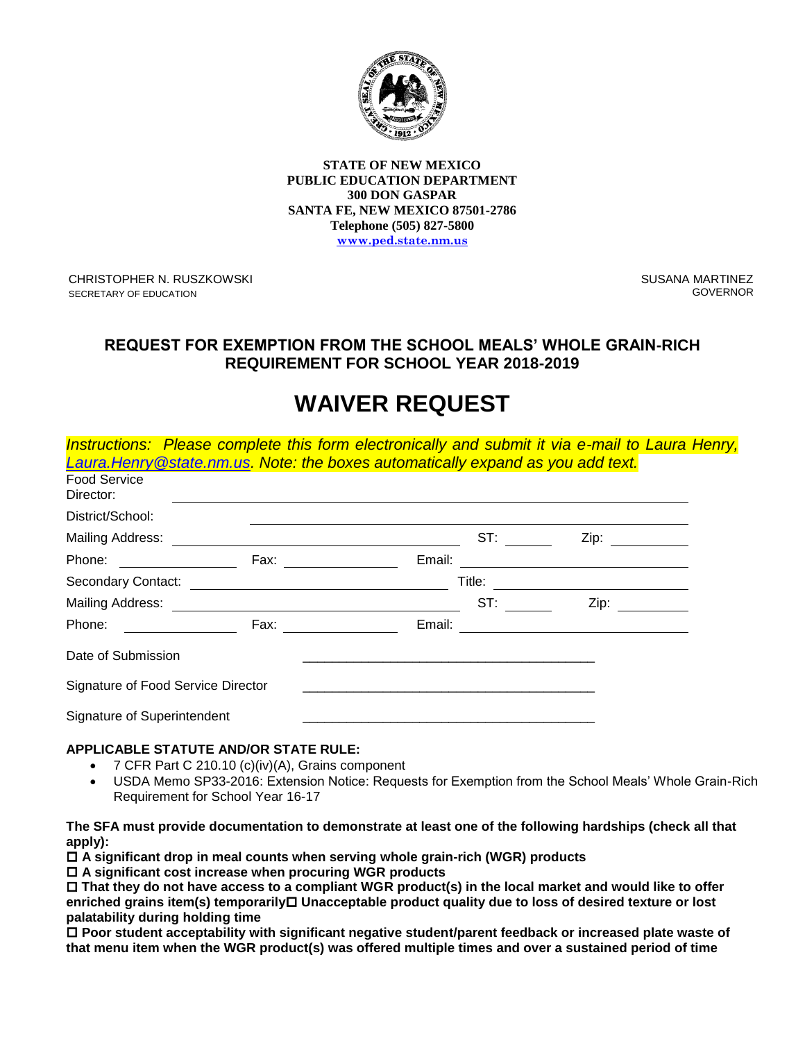

**STATE OF NEW MEXICO PUBLIC EDUCATION DEPARTMENT 300 DON GASPAR SANTA FE, NEW MEXICO 87501-2786 Telephone (505) 827-5800 [www.ped.state.nm.us](http://www.sde.state.nm.us/)**

CHRISTOPHER N. RUSZKOWSKI SECRETARY OF EDUCATION

SUSANA MARTINEZ GOVERNOR

# **REQUEST FOR EXEMPTION FROM THE SCHOOL MEALS' WHOLE GRAIN-RICH REQUIREMENT FOR SCHOOL YEAR 2018-2019**

# **WAIVER REQUEST**

| <b>Food Service</b><br>Director:   | Instructions: Please complete this form electronically and submit it via e-mail to Laura Henry,<br>Laura. Henry @state.nm.us. Note: the boxes automatically expand as you add text.                                            |        |        |                                                                                                                        |  |
|------------------------------------|--------------------------------------------------------------------------------------------------------------------------------------------------------------------------------------------------------------------------------|--------|--------|------------------------------------------------------------------------------------------------------------------------|--|
| District/School:                   |                                                                                                                                                                                                                                |        |        |                                                                                                                        |  |
| Mailing Address:                   |                                                                                                                                                                                                                                |        | ST:    |                                                                                                                        |  |
| Phone:                             | Fax: and the state of the state of the state of the state of the state of the state of the state of the state                                                                                                                  | Email: |        |                                                                                                                        |  |
|                                    | Secondary Contact: \\esseq\\end{\\stats\\stats\\stats\\stats\\stats\\stats\\stats\\stats\\stats\\stats\\stats\\stats\\stats\\stats\\stats\\stats\\stats\\stats\\stats\\stats\\stats\\stats\\stats\\stats\\stats\\stats\\stats\ |        | Title: | <u> 1989 - Johann Stoff, deutscher Stoffen und der Stoffen und der Stoffen und der Stoffen und der Stoffen und der</u> |  |
|                                    |                                                                                                                                                                                                                                |        | ST:    | Zip:                                                                                                                   |  |
| Phone:                             | Fax: and the state of the state of the state of the state of the state of the state of the state of the state of the state of the state of the state of the state of the state of the state of the state of the state of the s | Email: |        |                                                                                                                        |  |
| Date of Submission                 |                                                                                                                                                                                                                                |        |        |                                                                                                                        |  |
| Signature of Food Service Director |                                                                                                                                                                                                                                |        |        |                                                                                                                        |  |
| Signature of Superintendent        |                                                                                                                                                                                                                                |        |        |                                                                                                                        |  |

## **APPLICABLE STATUTE AND/OR STATE RULE:**

- 7 CFR Part C 210.10 (c)(iv)(A), Grains component
- USDA Memo SP33-2016: Extension Notice: Requests for Exemption from the School Meals' Whole Grain-Rich Requirement for School Year 16-17

### **The SFA must provide documentation to demonstrate at least one of the following hardships (check all that apply):**

**A significant drop in meal counts when serving whole grain-rich (WGR) products**

**A significant cost increase when procuring WGR products**

 **That they do not have access to a compliant WGR product(s) in the local market and would like to offer enriched grains item(s) temporarily Unacceptable product quality due to loss of desired texture or lost palatability during holding time**

 **Poor student acceptability with significant negative student/parent feedback or increased plate waste of that menu item when the WGR product(s) was offered multiple times and over a sustained period of time**